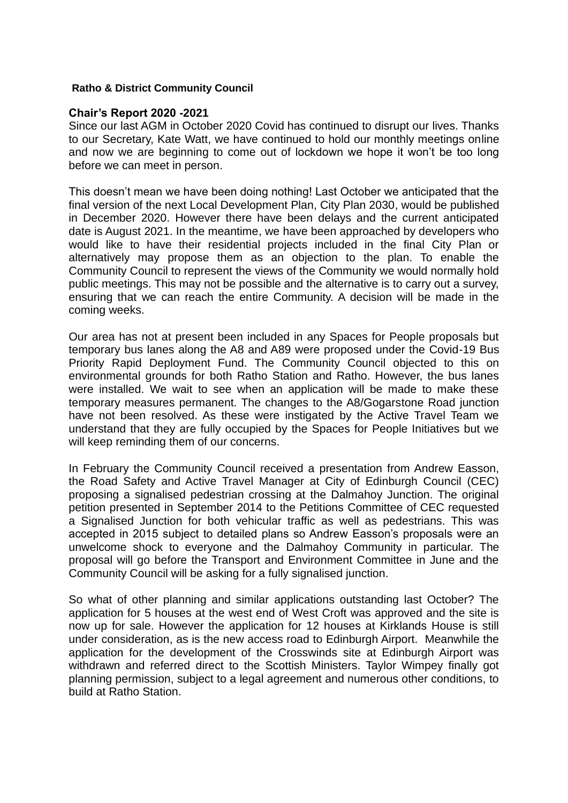## **Ratho & District Community Council**

## **Chair's Report 2020 -2021**

Since our last AGM in October 2020 Covid has continued to disrupt our lives. Thanks to our Secretary, Kate Watt, we have continued to hold our monthly meetings online and now we are beginning to come out of lockdown we hope it won't be too long before we can meet in person.

This doesn't mean we have been doing nothing! Last October we anticipated that the final version of the next Local Development Plan, City Plan 2030, would be published in December 2020. However there have been delays and the current anticipated date is August 2021. In the meantime, we have been approached by developers who would like to have their residential projects included in the final City Plan or alternatively may propose them as an objection to the plan. To enable the Community Council to represent the views of the Community we would normally hold public meetings. This may not be possible and the alternative is to carry out a survey, ensuring that we can reach the entire Community. A decision will be made in the coming weeks.

Our area has not at present been included in any Spaces for People proposals but temporary bus lanes along the A8 and A89 were proposed under the Covid-19 Bus Priority Rapid Deployment Fund. The Community Council objected to this on environmental grounds for both Ratho Station and Ratho. However, the bus lanes were installed. We wait to see when an application will be made to make these temporary measures permanent. The changes to the A8/Gogarstone Road junction have not been resolved. As these were instigated by the Active Travel Team we understand that they are fully occupied by the Spaces for People Initiatives but we will keep reminding them of our concerns.

In February the Community Council received a presentation from Andrew Easson, the Road Safety and Active Travel Manager at City of Edinburgh Council (CEC) proposing a signalised pedestrian crossing at the Dalmahoy Junction. The original petition presented in September 2014 to the Petitions Committee of CEC requested a Signalised Junction for both vehicular traffic as well as pedestrians. This was accepted in 2015 subject to detailed plans so Andrew Easson's proposals were an unwelcome shock to everyone and the Dalmahoy Community in particular. The proposal will go before the Transport and Environment Committee in June and the Community Council will be asking for a fully signalised junction.

So what of other planning and similar applications outstanding last October? The application for 5 houses at the west end of West Croft was approved and the site is now up for sale. However the application for 12 houses at Kirklands House is still under consideration, as is the new access road to Edinburgh Airport. Meanwhile the application for the development of the Crosswinds site at Edinburgh Airport was withdrawn and referred direct to the Scottish Ministers. Taylor Wimpey finally got planning permission, subject to a legal agreement and numerous other conditions, to build at Ratho Station.